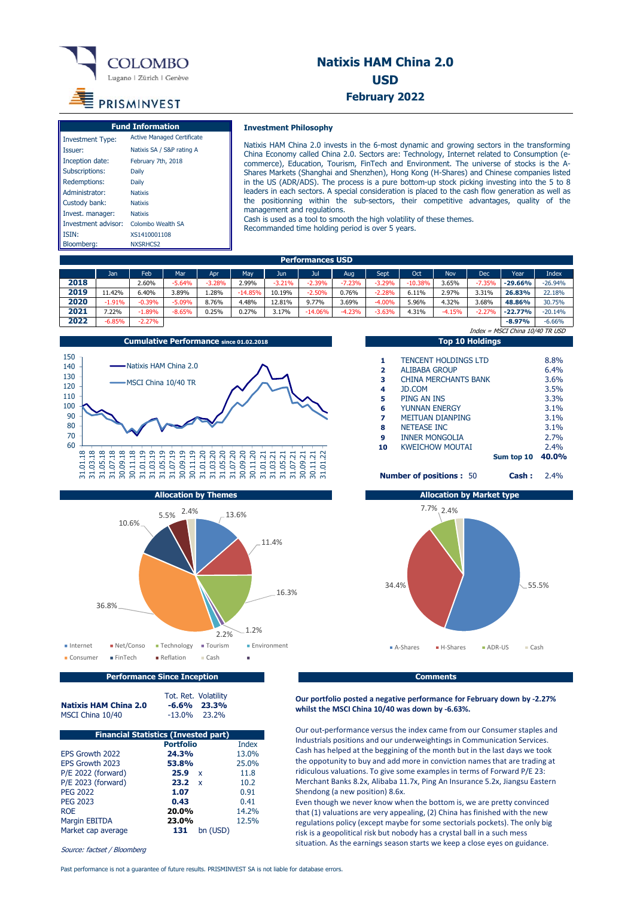

## **Natixis HAM China 2.0 USD February 2022**

# **PRISMINVEST**

| <b>Fund Information</b> |                                   |  |  |  |  |
|-------------------------|-----------------------------------|--|--|--|--|
| <b>Investment Type:</b> | <b>Active Managed Certificate</b> |  |  |  |  |
| Issuer:                 | Natixis SA / S&P rating A         |  |  |  |  |
| Inception date:         | February 7th, 2018                |  |  |  |  |
| Subscriptions:          | Daily                             |  |  |  |  |
| Redemptions:            | Daily                             |  |  |  |  |
| Administrator:          | <b>Natixis</b>                    |  |  |  |  |
| Custody bank:           | <b>Natixis</b>                    |  |  |  |  |
| Invest. manager:        | <b>Natixis</b>                    |  |  |  |  |
| Investment advisor:     | Colombo Wealth SA                 |  |  |  |  |
| <b>ISIN:</b>            | XS1410001108                      |  |  |  |  |
| Bloomberg:              | NXSRHCS <sub>2</sub>              |  |  |  |  |

## **Investment Philosophy**

Natixis HAM China 2.0 invests in the 6-most dynamic and growing sectors in the transforming China Economy called China 2.0. Sectors are: Technology, Internet related to Consumption (ecommerce), Education, Tourism, FinTech and Environment. The universe of stocks is the A-Shares Markets (Shanghai and Shenzhen), Hong Kong (H-Shares) and Chinese companies listed in the US (ADR/ADS). The process is a pure bottom-up stock picking investing into the 5 to 8 leaders in each sectors. A special consideration is placed to the cash flow generation as well as the positionning within the sub-sectors, their competitive advantages, quality of the management and regulations.

Cash is used as a tool to smooth the high volatility of these themes. Recommanded time holding period is over 5 years.

| <b>Performances USD</b> |          |          |          |          |           |          |           |          |           |           |          |          |           |           |
|-------------------------|----------|----------|----------|----------|-----------|----------|-----------|----------|-----------|-----------|----------|----------|-----------|-----------|
|                         | Jan      | Feb      | Mar      | Apr      | Mav       | Jun      | Jul       | Aug      | Sept      | Oct       | Nov      | Dec      | Year      | Index     |
| 2018                    |          | 2.60%    | $-5.64%$ | $-3.28%$ | 2.99%     | $-3.21%$ | $-2.39%$  | $-7.23%$ | $-3.29%$  | $-10.38%$ | 3.65%    | $-7.35%$ | $-29.66%$ | $-26.94%$ |
| 2019                    | 1.42%    | 6.40%    | 3.89%    | 1.28%    | $-14.85%$ | 10.19%   | $-2.50%$  | 0.76%    | $-2.28%$  | 6.11%     | 2.97%    | 3.31%    | 26.83%    | 22.18%    |
| 2020                    | $-1.91%$ | $-0.39%$ | $-5.09%$ | 8.76%    | 4.48%     | 12.81%   | 9.77%     | 3.69%    | $-4.00\%$ | 5.96%     | 4.32%    | 3.68%    | 48.86%    | 30.75%    |
| 2021                    | .22%     | $-1.89%$ | $-8.65%$ | 0.25%    | 0.27%     | 3.17%    | $-14.06%$ | $-4.23%$ | $-3.63%$  | 4.31%     | $-4.15%$ | $-2.27%$ | $-22.77%$ | $-20.14%$ |
| 2022                    | $-6.85%$ | $-2.27%$ |          |          |           |          |           |          |           |           |          |          | $-8.97%$  | $-6.66%$  |



|               |                | ruiveauvii sy |               |                        |
|---------------|----------------|---------------|---------------|------------------------|
|               | 10.6%<br>36.8% | 2.4%<br>5.5%  | 13.6%<br>2.2% | 11.4%<br>16.3%<br>1.2% |
| Internet      | ■ Net/Conso    | ■ Technology  | ■ Tourism     | <b>Environment</b>     |
| Consumer<br>п | $F$ inTech     | Reflation     | ■ Cash        | ٠                      |

|    | TOP TO HORIHYS                               |            |       |
|----|----------------------------------------------|------------|-------|
|    |                                              |            |       |
| 1  | <b>TENCENT HOLDINGS LTD</b>                  |            | 8.8%  |
| 2  | AI TRABA GROUP                               |            | 6.4%  |
| з  | CHINA MERCHANTS BANK                         |            | 3.6%  |
| 4  | JD.COM                                       |            | 3.5%  |
| 5  | PING AN INS                                  |            | 3.3%  |
| 6  | <b>YUNNAN ENERGY</b>                         |            | 3.1%  |
| 7  | <b>METTUAN DIANPING</b>                      |            | 3.1%  |
| 8  | <b>NETEASE INC</b>                           |            | 3.1%  |
| 9  | <b>INNER MONGOLIA</b>                        |            | 2.7%  |
| 10 | <b>KWEICHOW MOUTAI</b>                       |            | 2.4%  |
|    |                                              | Sum top 10 | 40.0% |
|    | <b>Number of positions: 50</b><br><b>COL</b> | Cash:      | 2.4%  |

Index = MSCI China 10/40 TR USD



**Performance Since Inception** Comments **Comments** 

**Our portfolio posted a negative performance for February down by ‐2.27% whilst the MSCI China 10/40 was down by ‐6.63%.**

Our out‐performance versus the index came from our Consumer staples and Industrials positions and our underweightings in Communication Services. Cash has helped at the beggining of the month but in the last days we took the oppotunity to buy and add more in conviction names that are trading at ridiculous valuations. To give some examples in terms of Forward P/E 23: Merchant Banks 8.2x, Alibaba 11.7x, Ping An Insurance 5.2x, Jiangsu Eastern Shendong (a new position) 8.6x.

Even though we never know when the bottom is, we are pretty convinced that (1) valuations are very appealing, (2) China has finished with the new regulations policy (except maybe for some sectorials pockets). The only big risk is a geopolitical risk but nobody has a crystal ball in a such mess situation. As the earnings season starts we keep a close eyes on guidance.

| <b>Natixis HAM China 2.0</b> |  |  |
|------------------------------|--|--|
|                              |  |  |
| $100T \times 11$             |  |  |

Tot. Ret. Volatility **Natixis HAM China 2.0 -6.6% 23.3%** MSCI China 10/40 -13.0% 23.2%

| <b>Financial Statistics (Invested part)</b> |                      |              |  |  |  |  |  |
|---------------------------------------------|----------------------|--------------|--|--|--|--|--|
|                                             | <b>Portfolio</b>     | <b>Index</b> |  |  |  |  |  |
| EPS Growth 2022                             | 24.3%                | 13.0%        |  |  |  |  |  |
| EPS Growth 2023                             | 53.8%                | 25.0%        |  |  |  |  |  |
| P/E 2022 (forward)                          | 25.9<br>$\mathsf{x}$ | 11.8         |  |  |  |  |  |
| P/E 2023 (forward)                          | 23.2<br>$\mathbf{x}$ | 10.2         |  |  |  |  |  |
| <b>PEG 2022</b>                             | 1.07                 | 0.91         |  |  |  |  |  |
| <b>PEG 2023</b>                             | 0.43                 | 0.41         |  |  |  |  |  |
| <b>ROE</b>                                  | 20.0%                | 14.2%        |  |  |  |  |  |
| <b>Margin EBITDA</b>                        | 23.0%                | 12.5%        |  |  |  |  |  |
| Market cap average                          | 131<br>bn (USD)      |              |  |  |  |  |  |

Source: factset / Bloomberg

Past performance is not a guarantee of future results. PRISMINVEST SA is not liable for database errors.